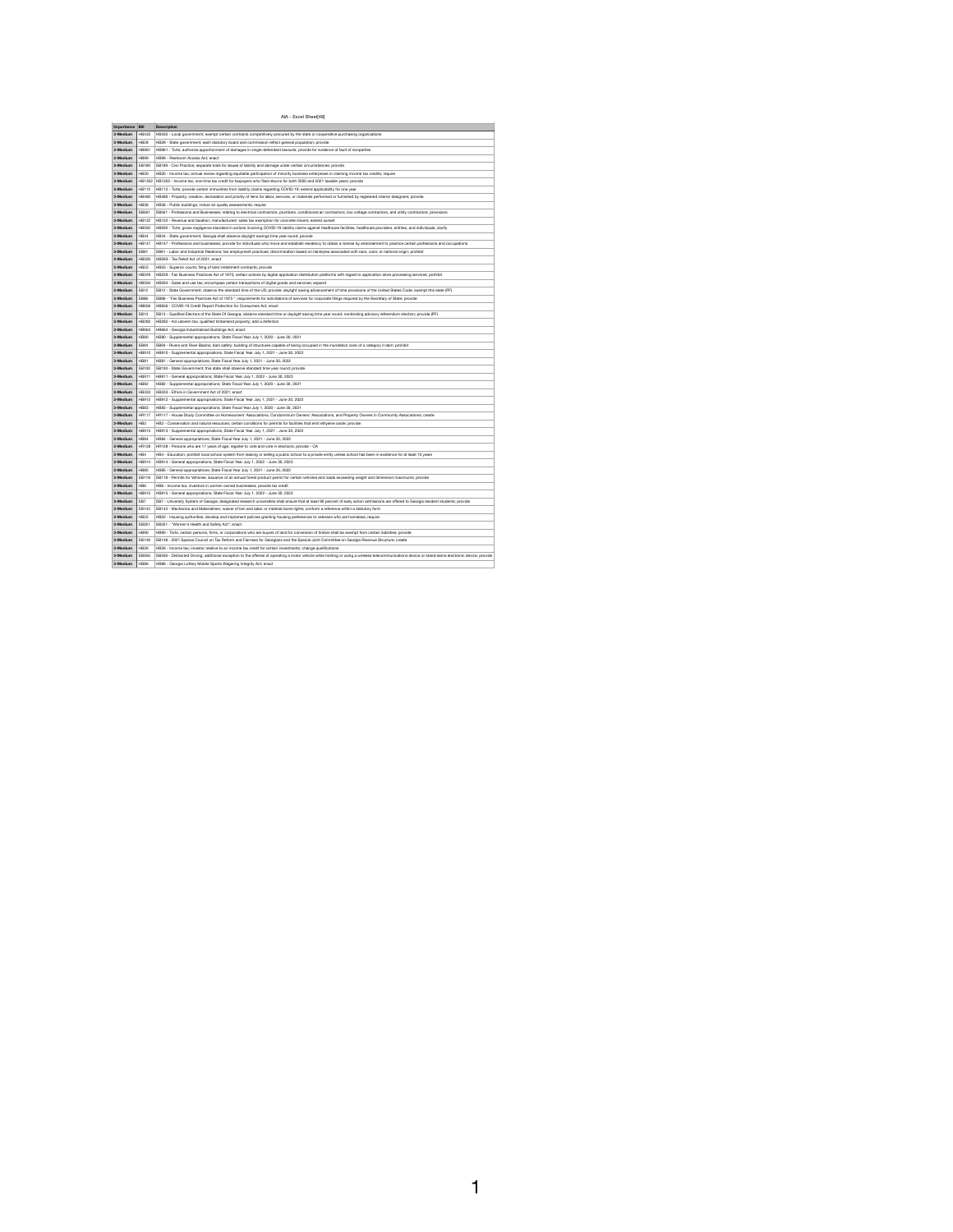## AIA - Excel Sheet[49]

| Importance Bill |                 | <b>Description</b>                                                                                                                                                                                                                                                        |
|-----------------|-----------------|---------------------------------------------------------------------------------------------------------------------------------------------------------------------------------------------------------------------------------------------------------------------------|
| 3-Medium        | <b>HB435</b>    | HB435 - Local government; exempt certain contracts competitively procured by the state or cooperative purchasing organizations                                                                                                                                            |
| 3-Medium        | <b>HB28</b>     | HB28 - State government; each statutory board and commission reflect general population; provide                                                                                                                                                                          |
| 3-Medium        | <b>HB961</b>    | HB961 - Torts; authorize apportionment of damages in single-defendant lawsuits; provide for evidence of fault of nonparties                                                                                                                                               |
| 3-Medium        | <b>HB99</b>     | HB99 - Restroom Access Act; enact                                                                                                                                                                                                                                         |
| 3-Medium        | <b>SB189</b>    | SB189 - Civil Practice; separate trials for issues of liability and damage under certain circumstances; provide                                                                                                                                                           |
| 3-Medium        | <b>HB30</b>     | HB30 - Income tax; annual review regarding equitable participation of minority business enterprises in claiming income tax credits; require                                                                                                                               |
| 3-Medium        |                 | HB1302   HB1302 - Income tax; one-time tax credit for taxpayers who filed returns for both 2020 and 2021 taxable years; provide                                                                                                                                           |
| 3-Medium        | <b>HB112</b>    | HB112 - Torts; provide certain immunities from liability claims regarding COVID-19; extend applicability for one year                                                                                                                                                     |
| 3-Medium        | <b>HB480</b>    | HB480 - Property; creation, declaration and priority of liens for labor, services, or materials performed or furnished by registered interior designers; provide                                                                                                          |
| 3-Medium        | <b>HB36</b>     | HB36 - Public buildings; indoor air quality assessments; require                                                                                                                                                                                                          |
| 3-Medium        | SB561           | SB561 - Professions and Businesses; relating to electrical contractors, plumbers, conditioned air contractors, low voltage contractors, and utility contractors; provisions                                                                                               |
| 3-Medium        | <b>HB122</b>    | HB122 - Revenue and taxation; manufacturers' sales tax exemption for concrete mixers; extend sunset                                                                                                                                                                       |
| 3-Medium        | <b>HB592</b>    | HB592 - Torts; gross negligence standard in actions involving COVID-19 liability claims against healthcare facilities, healthcare providers, entities, and individuals; clarify                                                                                           |
| 3-Medium        | <b>HB44</b>     | HB44 - State government; Georgia shall observe daylight savings time year round; provide                                                                                                                                                                                  |
| 3-Medium        | <b>HB147</b>    | HB147 - Professions and businesses; provide for individuals who move and establish residency to obtain a license by endorsement to practice certain professions and occupations                                                                                           |
| 3-Medium        | <b>SB61</b>     | SB61 - Labor and Industrial Relations; fair employment practices; discrimination based on hairstyles associated with race, color, or national origin; prohibit                                                                                                            |
| 3-Medium        | <b>HB593</b>    | HB593 - Tax Relief Act of 2021; enact                                                                                                                                                                                                                                     |
| 3-Medium        | <b>HB53</b>     | HB53 - Superior courts; filing of land installment contracts; provide                                                                                                                                                                                                     |
| 3-Medium        | <b>HB229</b>    | HB229 - Fair Business Practices Act of 1975; certain actions by digital application distribution platforms with regard to application store processing services; prohibit                                                                                                 |
| 3-Medium        | <b>HB594</b>    | HB594 - Sales and use tax; encompass certain transactions of digital goods and services; expand                                                                                                                                                                           |
| 3-Medium        | <b>SB12</b>     | SB12 - State Government; observe the standard time of the US; provide; daylight saving advancement of time provisions of the United States Code; exempt this state (PF)                                                                                                   |
| 3-Medium        | <b>SB86</b>     | SB86 - "Fair Business Practices Act of 1975"; requirements for solicitations of services for corporate filings required by the Secretary of State; provide                                                                                                                |
| 3-Medium        | <b>HB656</b>    | HB656 - COVID-19 Credit Report Protection for Consumers Act; enact                                                                                                                                                                                                        |
| 3-Medium        | <b>SB13</b>     | SB13 - Qualified Electors of the State Of Georgia; observe standard time or daylight saving time year round; nonbinding advisory referendum election; provide (PF)                                                                                                        |
| 3-Medium        | <b>HB282</b>    | HB282 - Ad valorem tax; qualified timberland property; add a definition                                                                                                                                                                                                   |
| 3-Medium        | <b>HB664</b>    | HB664 - Georgia Industrialized Buildings Act; enact                                                                                                                                                                                                                       |
| 3-Medium        | <b>HB80</b>     | HB80 - Supplemental appropriations; State Fiscal Year July 1, 2020 - June 30, 2021                                                                                                                                                                                        |
| 3-Medium        | SB94            | SB94 - Rivers and River Basins; dam safety; building of structures capable of being occupied in the inundation zone of a category II dam; prohibit                                                                                                                        |
| 3-Medium        | HB910           | HB910 - Supplemental appropriations; State Fiscal Year July 1, 2021 - June 30, 2022                                                                                                                                                                                       |
| 3-Medium        | <b>HB81</b>     |                                                                                                                                                                                                                                                                           |
|                 |                 | HB81 - General appropriations; State Fiscal Year July 1, 2021 - June 30, 2022                                                                                                                                                                                             |
| 3-Medium        | <b>SB100</b>    | SB100 - State Government; this state shall observe standard time year round; provide                                                                                                                                                                                      |
| 3-Medium        | HB911           | HB911 - General appropriations; State Fiscal Year July 1, 2022 - June 30, 2023                                                                                                                                                                                            |
| 3-Medium        | <b>HB82</b>     | HB82 - Supplemental appropriations; State Fiscal Year July 1, 2020 - June 30, 2021                                                                                                                                                                                        |
| 3-Medium        | <b>HB333</b>    | HB333 - Ethics in Government Act of 2021; enact                                                                                                                                                                                                                           |
| 3-Medium        | HB912           | HB912 - Supplemental appropriations; State Fiscal Year July 1, 2021 - June 30, 2022                                                                                                                                                                                       |
| 3-Medium        | <b>HB83</b>     | HB83 - Supplemental appropriations; State Fiscal Year July 1, 2020 - June 30, 2021                                                                                                                                                                                        |
| 3-Medium        | <b>HR117</b>    | HR117 - House Study Committee on Homeowners' Associations, Condominium Owners' Associations, and Property Owners in Community Associations; create                                                                                                                        |
| 3-Medium        | HB <sub>3</sub> | HB3 - Conservation and natural resources; certain conditions for permits for facilities that emit ethylene oxide; provide                                                                                                                                                 |
| 3-Medium        | <b>HB913</b>    | HB913 - Supplemental appropriations; State Fiscal Year July 1, 2021 - June 30, 2022                                                                                                                                                                                       |
| 3-Medium        | <b>HB84</b>     | HB84 - General appropriations; State Fiscal Year July 1, 2021 - June 30, 2022                                                                                                                                                                                             |
| 3-Medium        | <b>HR128</b>    | HR128 - Persons who are 17 years of age; register to vote and vote in elections; provide - CA                                                                                                                                                                             |
| 3-Medium        | HB4             | HB4 - Education; prohibit local school system from leasing or selling a public school to a private entity unless school has been in existence for at least 15 years                                                                                                       |
| 3-Medium        | <b>HB914</b>    | HB914 - General appropriations; State Fiscal Year July 1, 2022 - June 30, 2023                                                                                                                                                                                            |
| 3-Medium        | <b>HB85</b>     | HB85 - General appropriations; State Fiscal Year July 1, 2021 - June 30, 2022                                                                                                                                                                                             |
| 3-Medium        | <b>SB118</b>    | SB118 - Permits for Vehicles; issuance of an annual forest product permit for certain vehicles and loads exceeding weight and dimension maximums; provide<br>HB6 - Income tax; investors in women owned businesses; provide tax credit                                    |
| 3-Medium        | HB <sub>6</sub> |                                                                                                                                                                                                                                                                           |
| 3-Medium        | <b>HB915</b>    | HB915 - General appropriations; State Fiscal Year July 1, 2022 - June 30, 2023<br>SB7 - University System of Georgia; designated research universities shall ensure that at least 90 percent of early action admissions are offered to Georgia resident students; provide |
| 3-Medium        | SB7             |                                                                                                                                                                                                                                                                           |
| 3-Medium        | SB143           | SB143 - Mechanics and Materialmen; waiver of lien and labor or material bond rights; conform a reference within a statutory form                                                                                                                                          |
| 3-Medium        | <b>HB22</b>     | HB22 - Housing authorities; develop and implement policies granting housing preferences to veterans who are homeless; require                                                                                                                                             |
| 3-Medium        | SB351           | SB351 - "Women's Health and Safety Act"; enact                                                                                                                                                                                                                            |
| 3-Medium        | <b>HB90</b>     | HB90 - Torts; certain persons, firms, or corporations who are buyers of land for conversion of timber shall be exempt from certain liabilities; provide                                                                                                                   |
| 3-Medium        | <b>SB148</b>    | SB148 - 2021 Special Council on Tax Reform and Fairness for Georgians and the Special Joint Committee on Georgia Revenue Structure; create                                                                                                                                |
| 3-Medium        | <b>HB26</b>     | HB26 - Income tax; investor relative to an income tax credit for certain investments; change qualifications                                                                                                                                                               |
| 3-Medium        | SB356           | SB356 - Distracted Driving; additional exception to the offense of operating a motor vehicle while holding or using a wireless telecommunications device or stand-alone electronic device; provide                                                                        |
| 3-Medium        | <b>HB86</b>     | HB86 - Georgia Lottery Mobile Sports Wagering Integrity Act; enact                                                                                                                                                                                                        |

 $\blacktriangleleft$